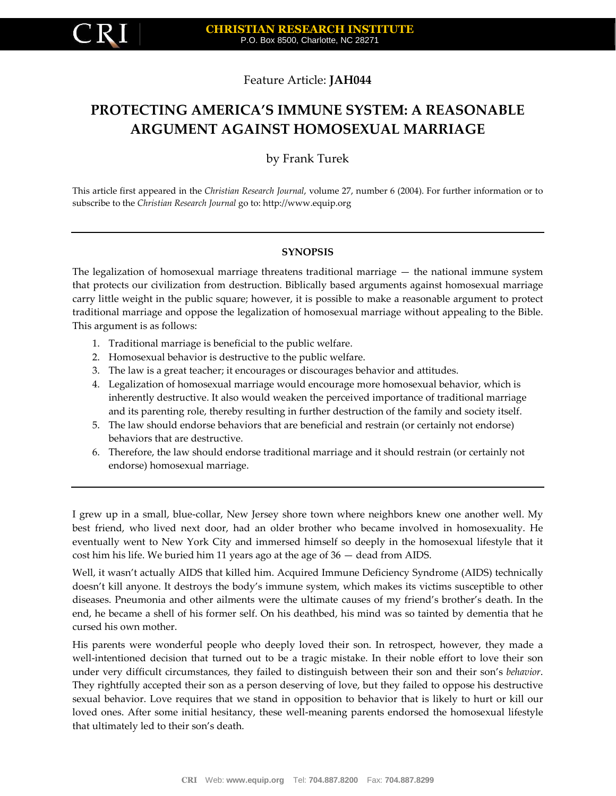

# Feature Article: **JAH044**

# **PROTECTING AMERICA'S IMMUNE SYSTEM: A REASONABLE ARGUMENT AGAINST HOMOSEXUAL MARRIAGE**

by Frank Turek

This article first appeared in the *Christian Research Journal*, volume 27, number 6 (2004). For further information or to subscribe to the *Christian Research Journal* go to: http://www.equip.org

## **SYNOPSIS**

The legalization of homosexual marriage threatens traditional marriage — the national immune system that protects our civilization from destruction. Biblically based arguments against homosexual marriage carry little weight in the public square; however, it is possible to make a reasonable argument to protect traditional marriage and oppose the legalization of homosexual marriage without appealing to the Bible. This argument is as follows:

- 1. Traditional marriage is beneficial to the public welfare.
- 2. Homosexual behavior is destructive to the public welfare.
- 3. The law is a great teacher; it encourages or discourages behavior and attitudes.
- 4. Legalization of homosexual marriage would encourage more homosexual behavior, which is inherently destructive. It also would weaken the perceived importance of traditional marriage and its parenting role, thereby resulting in further destruction of the family and society itself.
- 5. The law should endorse behaviors that are beneficial and restrain (or certainly not endorse) behaviors that are destructive.
- 6. Therefore, the law should endorse traditional marriage and it should restrain (or certainly not endorse) homosexual marriage.

I grew up in a small, blue-collar, New Jersey shore town where neighbors knew one another well. My best friend, who lived next door, had an older brother who became involved in homosexuality. He eventually went to New York City and immersed himself so deeply in the homosexual lifestyle that it cost him his life. We buried him 11 years ago at the age of 36 — dead from AIDS.

Well, it wasn't actually AIDS that killed him. Acquired Immune Deficiency Syndrome (AIDS) technically doesn't kill anyone. It destroys the body's immune system, which makes its victims susceptible to other diseases. Pneumonia and other ailments were the ultimate causes of my friend's brother's death. In the end, he became a shell of his former self. On his deathbed, his mind was so tainted by dementia that he cursed his own mother.

His parents were wonderful people who deeply loved their son. In retrospect, however, they made a well-intentioned decision that turned out to be a tragic mistake. In their noble effort to love their son under very difficult circumstances, they failed to distinguish between their son and their son's *behavior*. They rightfully accepted their son as a person deserving of love, but they failed to oppose his destructive sexual behavior. Love requires that we stand in opposition to behavior that is likely to hurt or kill our loved ones. After some initial hesitancy, these well-meaning parents endorsed the homosexual lifestyle that ultimately led to their son's death.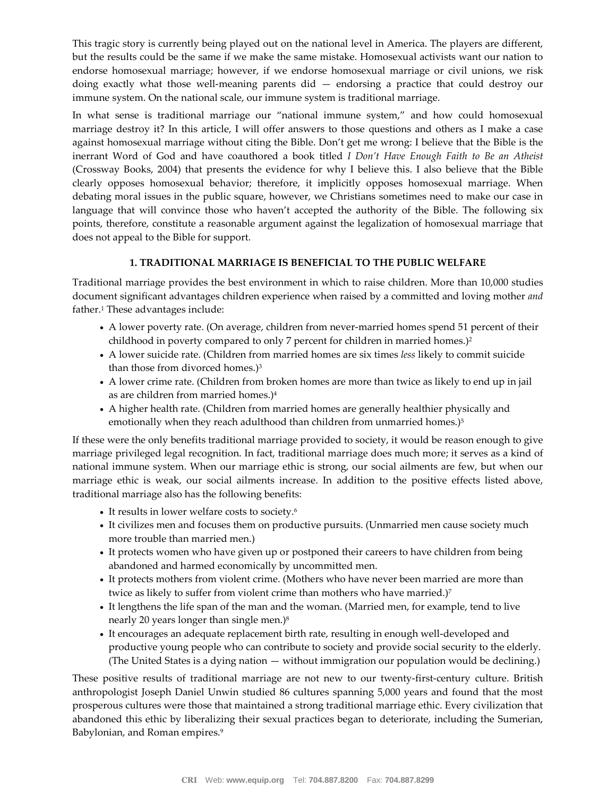This tragic story is currently being played out on the national level in America. The players are different, but the results could be the same if we make the same mistake. Homosexual activists want our nation to endorse homosexual marriage; however, if we endorse homosexual marriage or civil unions, we risk doing exactly what those well-meaning parents did — endorsing a practice that could destroy our immune system. On the national scale, our immune system is traditional marriage.

In what sense is traditional marriage our "national immune system," and how could homosexual marriage destroy it? In this article, I will offer answers to those questions and others as I make a case against homosexual marriage without citing the Bible. Don't get me wrong: I believe that the Bible is the inerrant Word of God and have coauthored a book titled *I Don't Have Enough Faith to Be an Atheist* (Crossway Books, 2004) that presents the evidence for why I believe this. I also believe that the Bible clearly opposes homosexual behavior; therefore, it implicitly opposes homosexual marriage. When debating moral issues in the public square, however, we Christians sometimes need to make our case in language that will convince those who haven't accepted the authority of the Bible. The following six points, therefore, constitute a reasonable argument against the legalization of homosexual marriage that does not appeal to the Bible for support.

## **1. TRADITIONAL MARRIAGE IS BENEFICIAL TO THE PUBLIC WELFARE**

Traditional marriage provides the best environment in which to raise children. More than 10,000 studies document significant advantages children experience when raised by a committed and loving mother *and* father.<sup>1</sup> These advantages include:

- A lower poverty rate. (On average, children from never-married homes spend 51 percent of their childhood in poverty compared to only 7 percent for children in married homes.)<sup>2</sup>
- A lower suicide rate. (Children from married homes are six times *less* likely to commit suicide than those from divorced homes.)<sup>3</sup>
- A lower crime rate. (Children from broken homes are more than twice as likely to end up in jail as are children from married homes.)<sup>4</sup>
- A higher health rate. (Children from married homes are generally healthier physically and emotionally when they reach adulthood than children from unmarried homes.)<sup>5</sup>

If these were the only benefits traditional marriage provided to society, it would be reason enough to give marriage privileged legal recognition. In fact, traditional marriage does much more; it serves as a kind of national immune system. When our marriage ethic is strong, our social ailments are few, but when our marriage ethic is weak, our social ailments increase. In addition to the positive effects listed above, traditional marriage also has the following benefits:

- It results in lower welfare costs to society.<sup>6</sup>
- It civilizes men and focuses them on productive pursuits. (Unmarried men cause society much more trouble than married men.)
- It protects women who have given up or postponed their careers to have children from being abandoned and harmed economically by uncommitted men.
- It protects mothers from violent crime. (Mothers who have never been married are more than twice as likely to suffer from violent crime than mothers who have married.)<sup>7</sup>
- It lengthens the life span of the man and the woman. (Married men, for example, tend to live nearly 20 years longer than single men.)<sup>8</sup>
- It encourages an adequate replacement birth rate, resulting in enough well-developed and productive young people who can contribute to society and provide social security to the elderly. (The United States is a dying nation — without immigration our population would be declining.)

These positive results of traditional marriage are not new to our twenty-first-century culture. British anthropologist Joseph Daniel Unwin studied 86 cultures spanning 5,000 years and found that the most prosperous cultures were those that maintained a strong traditional marriage ethic. Every civilization that abandoned this ethic by liberalizing their sexual practices began to deteriorate, including the Sumerian, Babylonian, and Roman empires.9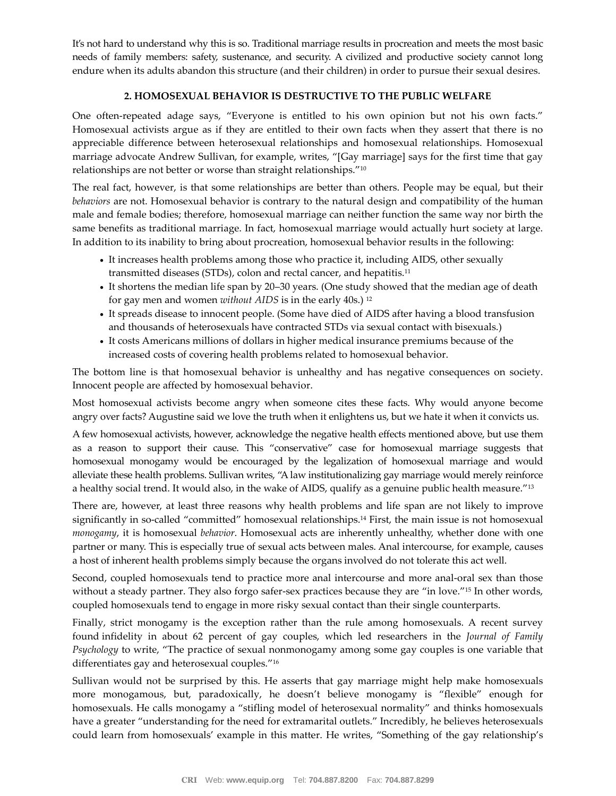It's not hard to understand why this is so. Traditional marriage results in procreation and meets the most basic needs of family members: safety, sustenance, and security. A civilized and productive society cannot long endure when its adults abandon this structure (and their children) in order to pursue their sexual desires.

#### **2. HOMOSEXUAL BEHAVIOR IS DESTRUCTIVE TO THE PUBLIC WELFARE**

One often-repeated adage says, "Everyone is entitled to his own opinion but not his own facts." Homosexual activists argue as if they are entitled to their own facts when they assert that there is no appreciable difference between heterosexual relationships and homosexual relationships. Homosexual marriage advocate Andrew Sullivan, for example, writes, "[Gay marriage] says for the first time that gay relationships are not better or worse than straight relationships."<sup>10</sup>

The real fact, however, is that some relationships are better than others. People may be equal, but their *behaviors* are not. Homosexual behavior is contrary to the natural design and compatibility of the human male and female bodies; therefore, homosexual marriage can neither function the same way nor birth the same benefits as traditional marriage. In fact, homosexual marriage would actually hurt society at large. In addition to its inability to bring about procreation, homosexual behavior results in the following:

- It increases health problems among those who practice it, including AIDS, other sexually transmitted diseases (STDs), colon and rectal cancer, and hepatitis.<sup>11</sup>
- It shortens the median life span by 20–30 years. (One study showed that the median age of death for gay men and women *without AIDS* is in the early 40s.) <sup>12</sup>
- It spreads disease to innocent people. (Some have died of AIDS after having a blood transfusion and thousands of heterosexuals have contracted STDs via sexual contact with bisexuals.)
- It costs Americans millions of dollars in higher medical insurance premiums because of the increased costs of covering health problems related to homosexual behavior.

The bottom line is that homosexual behavior is unhealthy and has negative consequences on society. Innocent people are affected by homosexual behavior.

Most homosexual activists become angry when someone cites these facts. Why would anyone become angry over facts? Augustine said we love the truth when it enlightens us, but we hate it when it convicts us.

A few homosexual activists, however, acknowledge the negative health effects mentioned above, but use them as a reason to support their cause. This "conservative" case for homosexual marriage suggests that homosexual monogamy would be encouraged by the legalization of homosexual marriage and would alleviate these health problems. Sullivan writes, "A law institutionalizing gay marriage would merely reinforce a healthy social trend. It would also, in the wake of AIDS, qualify as a genuine public health measure."<sup>13</sup>

There are, however, at least three reasons why health problems and life span are not likely to improve significantly in so-called "committed" homosexual relationships.<sup>14</sup> First, the main issue is not homosexual *monogamy*, it is homosexual *behavior*. Homosexual acts are inherently unhealthy, whether done with one partner or many. This is especially true of sexual acts between males. Anal intercourse, for example, causes a host of inherent health problems simply because the organs involved do not tolerate this act well.

Second, coupled homosexuals tend to practice more anal intercourse and more anal-oral sex than those without a steady partner. They also forgo safer-sex practices because they are "in love."<sup>15</sup> In other words, coupled homosexuals tend to engage in more risky sexual contact than their single counterparts.

Finally, strict monogamy is the exception rather than the rule among homosexuals. A recent survey found infidelity in about 62 percent of gay couples, which led researchers in the *Journal of Family Psychology* to write, "The practice of sexual nonmonogamy among some gay couples is one variable that differentiates gay and heterosexual couples."<sup>16</sup>

Sullivan would not be surprised by this. He asserts that gay marriage might help make homosexuals more monogamous, but, paradoxically, he doesn't believe monogamy is "flexible" enough for homosexuals. He calls monogamy a "stifling model of heterosexual normality" and thinks homosexuals have a greater "understanding for the need for extramarital outlets." Incredibly, he believes heterosexuals could learn from homosexuals' example in this matter. He writes, "Something of the gay relationship's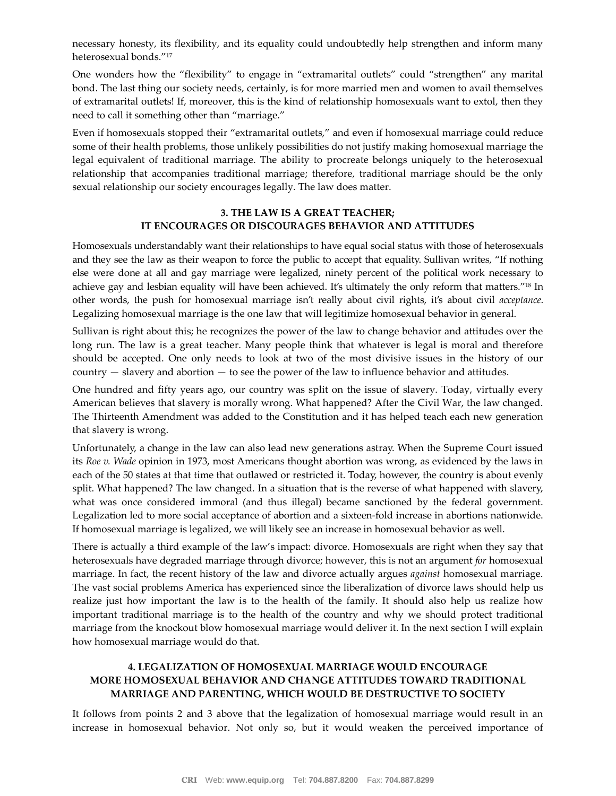necessary honesty, its flexibility, and its equality could undoubtedly help strengthen and inform many heterosexual bonds."<sup>17</sup>

One wonders how the "flexibility" to engage in "extramarital outlets" could "strengthen" any marital bond. The last thing our society needs, certainly, is for more married men and women to avail themselves of extramarital outlets! If, moreover, this is the kind of relationship homosexuals want to extol, then they need to call it something other than "marriage."

Even if homosexuals stopped their "extramarital outlets," and even if homosexual marriage could reduce some of their health problems, those unlikely possibilities do not justify making homosexual marriage the legal equivalent of traditional marriage. The ability to procreate belongs uniquely to the heterosexual relationship that accompanies traditional marriage; therefore, traditional marriage should be the only sexual relationship our society encourages legally. The law does matter.

#### **3. THE LAW IS A GREAT TEACHER; IT ENCOURAGES OR DISCOURAGES BEHAVIOR AND ATTITUDES**

Homosexuals understandably want their relationships to have equal social status with those of heterosexuals and they see the law as their weapon to force the public to accept that equality. Sullivan writes, "If nothing else were done at all and gay marriage were legalized, ninety percent of the political work necessary to achieve gay and lesbian equality will have been achieved. It's ultimately the only reform that matters."<sup>18</sup> In other words, the push for homosexual marriage isn't really about civil rights, it's about civil *acceptance*. Legalizing homosexual marriage is the one law that will legitimize homosexual behavior in general.

Sullivan is right about this; he recognizes the power of the law to change behavior and attitudes over the long run. The law is a great teacher. Many people think that whatever is legal is moral and therefore should be accepted. One only needs to look at two of the most divisive issues in the history of our country — slavery and abortion — to see the power of the law to influence behavior and attitudes.

One hundred and fifty years ago, our country was split on the issue of slavery. Today, virtually every American believes that slavery is morally wrong. What happened? After the Civil War, the law changed. The Thirteenth Amendment was added to the Constitution and it has helped teach each new generation that slavery is wrong.

Unfortunately, a change in the law can also lead new generations astray. When the Supreme Court issued its *Roe v. Wade* opinion in 1973, most Americans thought abortion was wrong, as evidenced by the laws in each of the 50 states at that time that outlawed or restricted it. Today, however, the country is about evenly split. What happened? The law changed. In a situation that is the reverse of what happened with slavery, what was once considered immoral (and thus illegal) became sanctioned by the federal government. Legalization led to more social acceptance of abortion and a sixteen-fold increase in abortions nationwide. If homosexual marriage is legalized, we will likely see an increase in homosexual behavior as well.

There is actually a third example of the law's impact: divorce. Homosexuals are right when they say that heterosexuals have degraded marriage through divorce; however, this is not an argument *for* homosexual marriage. In fact, the recent history of the law and divorce actually argues *against* homosexual marriage. The vast social problems America has experienced since the liberalization of divorce laws should help us realize just how important the law is to the health of the family. It should also help us realize how important traditional marriage is to the health of the country and why we should protect traditional marriage from the knockout blow homosexual marriage would deliver it. In the next section I will explain how homosexual marriage would do that.

## **4. LEGALIZATION OF HOMOSEXUAL MARRIAGE WOULD ENCOURAGE MORE HOMOSEXUAL BEHAVIOR AND CHANGE ATTITUDES TOWARD TRADITIONAL MARRIAGE AND PARENTING, WHICH WOULD BE DESTRUCTIVE TO SOCIETY**

It follows from points 2 and 3 above that the legalization of homosexual marriage would result in an increase in homosexual behavior. Not only so, but it would weaken the perceived importance of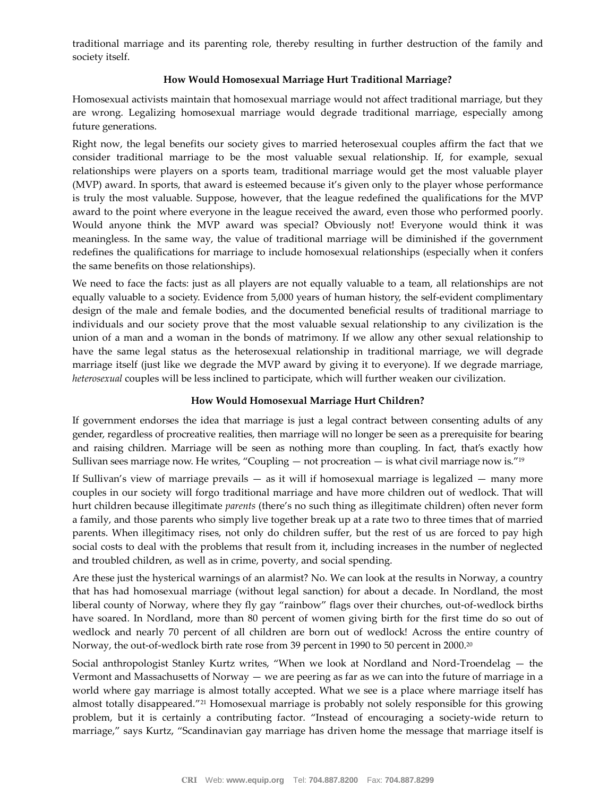traditional marriage and its parenting role, thereby resulting in further destruction of the family and society itself.

#### **How Would Homosexual Marriage Hurt Traditional Marriage?**

Homosexual activists maintain that homosexual marriage would not affect traditional marriage, but they are wrong. Legalizing homosexual marriage would degrade traditional marriage, especially among future generations.

Right now, the legal benefits our society gives to married heterosexual couples affirm the fact that we consider traditional marriage to be the most valuable sexual relationship. If, for example, sexual relationships were players on a sports team, traditional marriage would get the most valuable player (MVP) award. In sports, that award is esteemed because it's given only to the player whose performance is truly the most valuable. Suppose, however, that the league redefined the qualifications for the MVP award to the point where everyone in the league received the award, even those who performed poorly. Would anyone think the MVP award was special? Obviously not! Everyone would think it was meaningless. In the same way, the value of traditional marriage will be diminished if the government redefines the qualifications for marriage to include homosexual relationships (especially when it confers the same benefits on those relationships).

We need to face the facts: just as all players are not equally valuable to a team, all relationships are not equally valuable to a society. Evidence from 5,000 years of human history, the self-evident complimentary design of the male and female bodies, and the documented beneficial results of traditional marriage to individuals and our society prove that the most valuable sexual relationship to any civilization is the union of a man and a woman in the bonds of matrimony. If we allow any other sexual relationship to have the same legal status as the heterosexual relationship in traditional marriage, we will degrade marriage itself (just like we degrade the MVP award by giving it to everyone). If we degrade marriage, *heterosexual* couples will be less inclined to participate, which will further weaken our civilization.

#### **How Would Homosexual Marriage Hurt Children?**

If government endorses the idea that marriage is just a legal contract between consenting adults of any gender, regardless of procreative realities, then marriage will no longer be seen as a prerequisite for bearing and raising children. Marriage will be seen as nothing more than coupling. In fact, that's exactly how Sullivan sees marriage now. He writes, "Coupling  $-$  not procreation  $-$  is what civil marriage now is."<sup>19</sup>

If Sullivan's view of marriage prevails — as it will if homosexual marriage is legalized — many more couples in our society will forgo traditional marriage and have more children out of wedlock. That will hurt children because illegitimate *parents* (there's no such thing as illegitimate children) often never form a family, and those parents who simply live together break up at a rate two to three times that of married parents. When illegitimacy rises, not only do children suffer, but the rest of us are forced to pay high social costs to deal with the problems that result from it, including increases in the number of neglected and troubled children, as well as in crime, poverty, and social spending.

Are these just the hysterical warnings of an alarmist? No. We can look at the results in Norway, a country that has had homosexual marriage (without legal sanction) for about a decade. In Nordland, the most liberal county of Norway, where they fly gay "rainbow" flags over their churches, out-of-wedlock births have soared. In Nordland, more than 80 percent of women giving birth for the first time do so out of wedlock and nearly 70 percent of all children are born out of wedlock! Across the entire country of Norway, the out-of-wedlock birth rate rose from 39 percent in 1990 to 50 percent in 2000.<sup>20</sup>

Social anthropologist Stanley Kurtz writes, "When we look at Nordland and Nord-Troendelag — the Vermont and Massachusetts of Norway — we are peering as far as we can into the future of marriage in a world where gay marriage is almost totally accepted. What we see is a place where marriage itself has almost totally disappeared."<sup>21</sup> Homosexual marriage is probably not solely responsible for this growing problem, but it is certainly a contributing factor. "Instead of encouraging a society-wide return to marriage," says Kurtz, "Scandinavian gay marriage has driven home the message that marriage itself is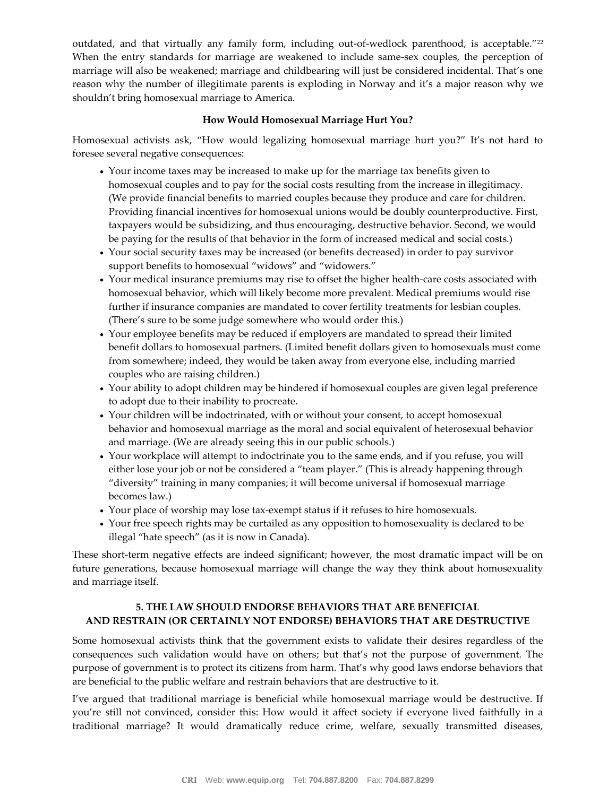outdated, and that virtually any family form, including out-of-wedlock parenthood, is acceptable."<sup>22</sup> When the entry standards for marriage are weakened to include same-sex couples, the perception of marriage will also be weakened; marriage and childbearing will just be considered incidental. That's one reason why the number of illegitimate parents is exploding in Norway and it's a major reason why we shouldn't bring homosexual marriage to America.

#### **How Would Homosexual Marriage Hurt You?**

Homosexual activists ask, "How would legalizing homosexual marriage hurt you?" It's not hard to foresee several negative consequences:

- Your income taxes may be increased to make up for the marriage tax benefits given to homosexual couples and to pay for the social costs resulting from the increase in illegitimacy. (We provide financial benefits to married couples because they produce and care for children. Providing financial incentives for homosexual unions would be doubly counterproductive. First, taxpayers would be subsidizing, and thus encouraging, destructive behavior. Second, we would be paying for the results of that behavior in the form of increased medical and social costs.)
- Your social security taxes may be increased (or benefits decreased) in order to pay survivor support benefits to homosexual "widows" and "widowers."
- Your medical insurance premiums may rise to offset the higher health-care costs associated with homosexual behavior, which will likely become more prevalent. Medical premiums would rise further if insurance companies are mandated to cover fertility treatments for lesbian couples. (There's sure to be some judge somewhere who would order this.)
- Your employee benefits may be reduced if employers are mandated to spread their limited benefit dollars to homosexual partners. (Limited benefit dollars given to homosexuals must come from somewhere; indeed, they would be taken away from everyone else, including married couples who are raising children.)
- Your ability to adopt children may be hindered if homosexual couples are given legal preference to adopt due to their inability to procreate.
- Your children will be indoctrinated, with or without your consent, to accept homosexual behavior and homosexual marriage as the moral and social equivalent of heterosexual behavior and marriage. (We are already seeing this in our public schools.)
- Your workplace will attempt to indoctrinate you to the same ends, and if you refuse, you will either lose your job or not be considered a "team player." (This is already happening through "diversity" training in many companies; it will become universal if homosexual marriage becomes law.)
- Your place of worship may lose tax-exempt status if it refuses to hire homosexuals.
- Your free speech rights may be curtailed as any opposition to homosexuality is declared to be illegal "hate speech" (as it is now in Canada).

These short-term negative effects are indeed significant; however, the most dramatic impact will be on future generations, because homosexual marriage will change the way they think about homosexuality and marriage itself.

## **5. THE LAW SHOULD ENDORSE BEHAVIORS THAT ARE BENEFICIAL AND RESTRAIN (OR CERTAINLY NOT ENDORSE) BEHAVIORS THAT ARE DESTRUCTIVE**

Some homosexual activists think that the government exists to validate their desires regardless of the consequences such validation would have on others; but that's not the purpose of government. The purpose of government is to protect its citizens from harm. That's why good laws endorse behaviors that are beneficial to the public welfare and restrain behaviors that are destructive to it.

I've argued that traditional marriage is beneficial while homosexual marriage would be destructive. If you're still not convinced, consider this: How would it affect society if everyone lived faithfully in a traditional marriage? It would dramatically reduce crime, welfare, sexually transmitted diseases,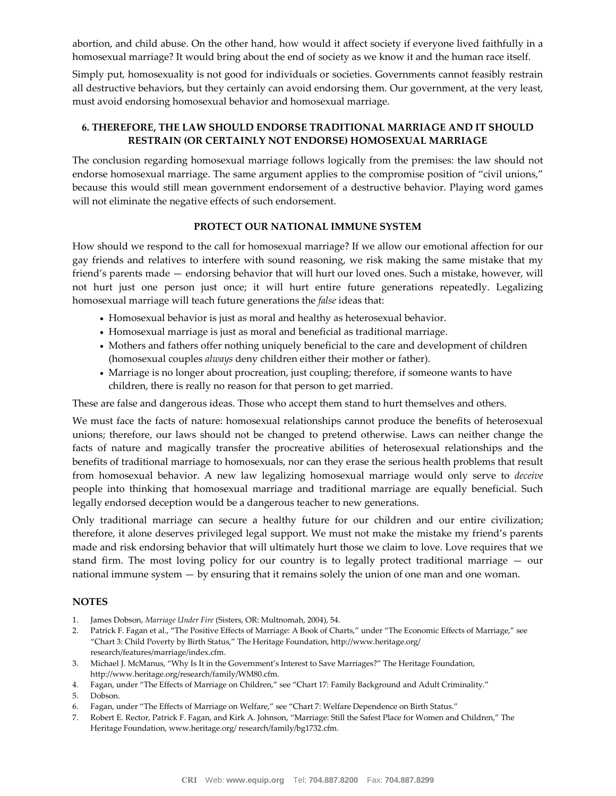abortion, and child abuse. On the other hand, how would it affect society if everyone lived faithfully in a homosexual marriage? It would bring about the end of society as we know it and the human race itself.

Simply put, homosexuality is not good for individuals or societies. Governments cannot feasibly restrain all destructive behaviors, but they certainly can avoid endorsing them. Our government, at the very least, must avoid endorsing homosexual behavior and homosexual marriage.

### **6. THEREFORE, THE LAW SHOULD ENDORSE TRADITIONAL MARRIAGE AND IT SHOULD RESTRAIN (OR CERTAINLY NOT ENDORSE) HOMOSEXUAL MARRIAGE**

The conclusion regarding homosexual marriage follows logically from the premises: the law should not endorse homosexual marriage. The same argument applies to the compromise position of "civil unions," because this would still mean government endorsement of a destructive behavior. Playing word games will not eliminate the negative effects of such endorsement.

#### **PROTECT OUR NATIONAL IMMUNE SYSTEM**

How should we respond to the call for homosexual marriage? If we allow our emotional affection for our gay friends and relatives to interfere with sound reasoning, we risk making the same mistake that my friend's parents made — endorsing behavior that will hurt our loved ones. Such a mistake, however, will not hurt just one person just once; it will hurt entire future generations repeatedly. Legalizing homosexual marriage will teach future generations the *false* ideas that:

- Homosexual behavior is just as moral and healthy as heterosexual behavior.
- Homosexual marriage is just as moral and beneficial as traditional marriage.
- Mothers and fathers offer nothing uniquely beneficial to the care and development of children (homosexual couples *always* deny children either their mother or father).
- Marriage is no longer about procreation, just coupling; therefore, if someone wants to have children, there is really no reason for that person to get married.

These are false and dangerous ideas. Those who accept them stand to hurt themselves and others.

We must face the facts of nature: homosexual relationships cannot produce the benefits of heterosexual unions; therefore, our laws should not be changed to pretend otherwise. Laws can neither change the facts of nature and magically transfer the procreative abilities of heterosexual relationships and the benefits of traditional marriage to homosexuals, nor can they erase the serious health problems that result from homosexual behavior. A new law legalizing homosexual marriage would only serve to *deceive* people into thinking that homosexual marriage and traditional marriage are equally beneficial. Such legally endorsed deception would be a dangerous teacher to new generations.

Only traditional marriage can secure a healthy future for our children and our entire civilization; therefore, it alone deserves privileged legal support. We must not make the mistake my friend's parents made and risk endorsing behavior that will ultimately hurt those we claim to love. Love requires that we stand firm. The most loving policy for our country is to legally protect traditional marriage — our national immune system — by ensuring that it remains solely the union of one man and one woman.

#### **NOTES**

- 1. James Dobson, *Marriage Under Fire* (Sisters, OR: Multnomah, 2004), 54.
- 2. Patrick F. Fagan et al., "The Positive Effects of Marriage: A Book of Charts," under "The Economic Effects of Marriage," see "Chart 3: Child Poverty by Birth Status," The Heritage Foundation, http://www.heritage.org/ research/features/marriage/index.cfm.
- 3. Michael J. McManus, "Why Is It in the Government's Interest to Save Marriages?" The Heritage Foundation, http://www.heritage.org/research/family/WM80.cfm.
- 4. Fagan, under "The Effects of Marriage on Children," see "Chart 17: Family Background and Adult Criminality."
- 5. Dobson.
- 6. Fagan, under "The Effects of Marriage on Welfare," see "Chart 7: Welfare Dependence on Birth Status."
- 7. Robert E. Rector, Patrick F. Fagan, and Kirk A. Johnson, "Marriage: Still the Safest Place for Women and Children," The Heritage Foundation, www.heritage.org/ research/family/bg1732.cfm.